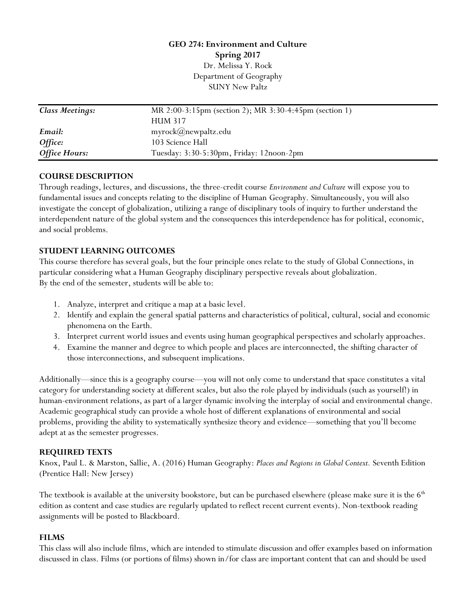# **GEO 274: Environment and Culture Spring 2017** Dr. Melissa Y. Rock Department of Geography SUNY New Paltz

| <b>Class Meetings:</b> | MR 2:00-3:15pm (section 2); MR 3:30-4:45pm (section 1)<br><b>HUM 317</b> |
|------------------------|--------------------------------------------------------------------------|
| Email:                 | myrock@newpaltz.edu                                                      |
| Office:                | 103 Science Hall                                                         |
| <b>Office Hours:</b>   | Tuesday: 3:30-5:30pm, Friday: 12noon-2pm                                 |

### **COURSE DESCRIPTION**

Through readings, lectures, and discussions, the three-credit course *Environment and Culture* will expose you to fundamental issues and concepts relating to the discipline of Human Geography. Simultaneously, you will also investigate the concept of globalization, utilizing a range of disciplinary tools of inquiry to further understand the interdependent nature of the global system and the consequences this interdependence has for political, economic, and social problems.

# **STUDENT LEARNING OUTCOMES**

This course therefore has several goals, but the four principle ones relate to the study of Global Connections, in particular considering what a Human Geography disciplinary perspective reveals about globalization. By the end of the semester, students will be able to:

- 1. Analyze, interpret and critique a map at a basic level.
- 2. Identify and explain the general spatial patterns and characteristics of political, cultural, social and economic phenomena on the Earth.
- 3. Interpret current world issues and events using human geographical perspectives and scholarly approaches.
- 4. Examine the manner and degree to which people and places are interconnected, the shifting character of those interconnections, and subsequent implications.

Additionally—since this is a geography course—you will not only come to understand that space constitutes a vital category for understanding society at different scales, but also the role played by individuals (such as yourself!) in human-environment relations, as part of a larger dynamic involving the interplay of social and environmental change. Academic geographical study can provide a whole host of different explanations of environmental and social problems, providing the ability to systematically synthesize theory and evidence—something that you'll become adept at as the semester progresses.

### **REQUIRED TEXTS**

Knox, Paul L. & Marston, Sallie, A. (2016) Human Geography: *Places and Regions in Global Context.* Seventh Edition (Prentice Hall: New Jersey)

The textbook is available at the university bookstore, but can be purchased elsewhere (please make sure it is the  $6<sup>th</sup>$ edition as content and case studies are regularly updated to reflect recent current events). Non-textbook reading assignments will be posted to Blackboard.

### **FILMS**

This class will also include films, which are intended to stimulate discussion and offer examples based on information discussed in class. Films (or portions of films) shown in/for class are important content that can and should be used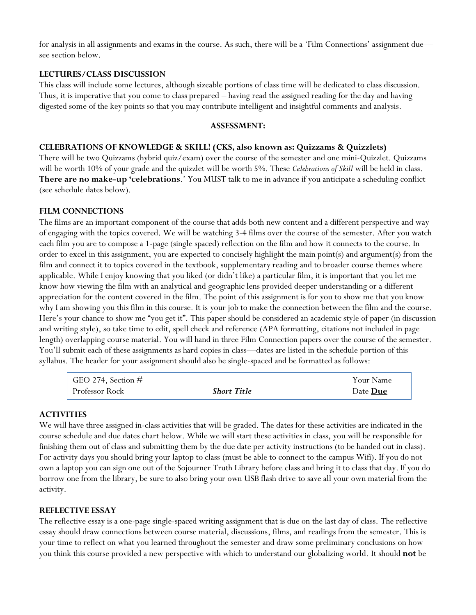for analysis in all assignments and exams in the course. As such, there will be a 'Film Connections' assignment due see section below.

### **LECTURES/CLASS DISCUSSION**

This class will include some lectures, although sizeable portions of class time will be dedicated to class discussion. Thus, it is imperative that you come to class prepared – having read the assigned reading for the day and having digested some of the key points so that you may contribute intelligent and insightful comments and analysis.

### **ASSESSMENT:**

### **CELEBRATIONS OF KNOWLEDGE & SKILL! (CKS, also known as: Quizzams & Quizzlets)**

There will be two Quizzams (hybrid quiz/exam) over the course of the semester and one mini-Quizzlet. Quizzams will be worth 10% of your grade and the quizzlet will be worth 5%. These *Celebrations of Skill* will be held in class. **There are no make-up 'celebrations**.' You MUST talk to me in advance if you anticipate a scheduling conflict (see schedule dates below).

## **FILM CONNECTIONS**

The films are an important component of the course that adds both new content and a different perspective and way of engaging with the topics covered. We will be watching 3-4 films over the course of the semester. After you watch each film you are to compose a 1-page (single spaced) reflection on the film and how it connects to the course. In order to excel in this assignment, you are expected to concisely highlight the main point(s) and argument(s) from the film and connect it to topics covered in the textbook, supplementary reading and to broader course themes where applicable. While I enjoy knowing that you liked (or didn't like) a particular film, it is important that you let me know how viewing the film with an analytical and geographic lens provided deeper understanding or a different appreciation for the content covered in the film. The point of this assignment is for you to show me that you know why I am showing you this film in this course. It is your job to make the connection between the film and the course. Here's your chance to show me "you get it". This paper should be considered an academic style of paper (in discussion and writing style), so take time to edit, spell check and reference (APA formatting, citations not included in page length) overlapping course material. You will hand in three Film Connection papers over the course of the semester. You'll submit each of these assignments as hard copies in class—dates are listed in the schedule portion of this syllabus. The header for your assignment should also be single-spaced and be formatted as follows:

| GEO 274, Section $#$ |                    | Your Name |
|----------------------|--------------------|-----------|
| Professor Rock       | <b>Short Title</b> | Date Due  |

# **ACTIVITIES**

We will have three assigned in-class activities that will be graded. The dates for these activities are indicated in the course schedule and due dates chart below. While we will start these activities in class, you will be responsible for finishing them out of class and submitting them by the due date per activity instructions (to be handed out in class). For activity days you should bring your laptop to class (must be able to connect to the campus Wifi). If you do not own a laptop you can sign one out of the Sojourner Truth Library before class and bring it to class that day. If you do borrow one from the library, be sure to also bring your own USB flash drive to save all your own material from the activity.

# **REFLECTIVE ESSAY**

The reflective essay is a one-page single-spaced writing assignment that is due on the last day of class. The reflective essay should draw connections between course material, discussions, films, and readings from the semester. This is your time to reflect on what you learned throughout the semester and draw some preliminary conclusions on how you think this course provided a new perspective with which to understand our globalizing world. It should **not** be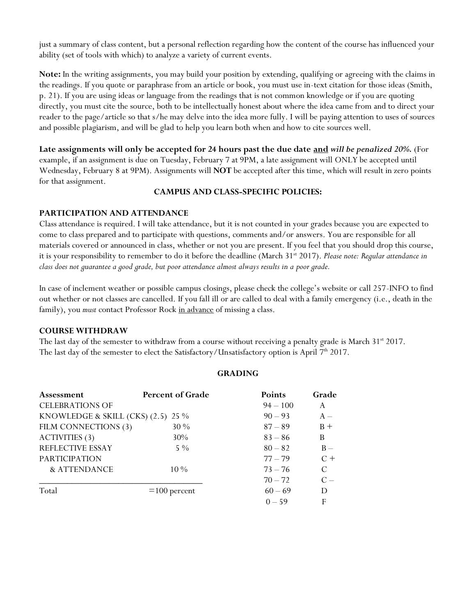just a summary of class content, but a personal reflection regarding how the content of the course has influenced your ability (set of tools with which) to analyze a variety of current events.

**Note:** In the writing assignments, you may build your position by extending, qualifying or agreeing with the claims in the readings. If you quote or paraphrase from an article or book, you must use in-text citation for those ideas (Smith, p. 21). If you are using ideas or language from the readings that is not common knowledge or if you are quoting directly, you must cite the source, both to be intellectually honest about where the idea came from and to direct your reader to the page/article so that s/he may delve into the idea more fully. I will be paying attention to uses of sources and possible plagiarism, and will be glad to help you learn both when and how to cite sources well.

**Late assignments will only be accepted for 24 hours past the due date and** *will be penalized 20%.* (For example, if an assignment is due on Tuesday, February 7 at 9PM, a late assignment will ONLY be accepted until Wednesday, February 8 at 9PM). Assignments will **NOT** be accepted after this time, which will result in zero points for that assignment.

## **CAMPUS AND CLASS-SPECIFIC POLICIES:**

## **PARTICIPATION AND ATTENDANCE**

Class attendance is required. I will take attendance, but it is not counted in your grades because you are expected to come to class prepared and to participate with questions, comments and/or answers. You are responsible for all materials covered or announced in class, whether or not you are present. If you feel that you should drop this course, it is your responsibility to remember to do it before the deadline (March 31<sup>st</sup> 2017). *Please note: Regular attendance in class does not guarantee a good grade, but poor attendance almost always results in a poor grade.* 

In case of inclement weather or possible campus closings, please check the college's website or call 257-INFO to find out whether or not classes are cancelled. If you fall ill or are called to deal with a family emergency (i.e., death in the family), you *must* contact Professor Rock in advance of missing a class.

### **COURSE WITHDRAW**

The last day of the semester to withdraw from a course without receiving a penalty grade is March 31<sup>st</sup> 2017. The last day of the semester to elect the Satisfactory/Unsatisfactory option is April 7<sup>th</sup> 2017.

| <b>Assessment</b>                    | <b>Percent of Grade</b> | Points     | Grade         |
|--------------------------------------|-------------------------|------------|---------------|
| <b>CELEBRATIONS OF</b>               |                         | $94 - 100$ | A             |
| KNOWLEDGE & SKILL (CKS) $(2.5)$ 25 % |                         | $90 - 93$  | $A -$         |
| FILM CONNECTIONS (3)                 | $30\%$                  | $87 - 89$  | $R +$         |
| <b>ACTIVITIES</b> (3)                | $30\%$                  | $83 - 86$  | B             |
| REFLECTIVE ESSAY                     | $5\%$                   | $80 - 82$  | $B -$         |
| <b>PARTICIPATION</b>                 |                         | $77 - 79$  | $C +$         |
| & ATTENDANCE                         | $10\%$                  | $73 - 76$  | $\mathcal{C}$ |
|                                      |                         | $70 - 72$  | $C -$         |
| Total                                | $=100$ percent          | $60 - 69$  | D             |
|                                      |                         | $0 - 59$   | F             |

### **GRADING**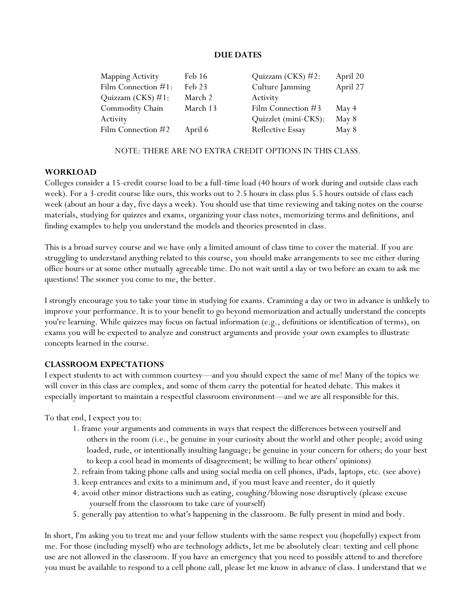#### **DUE DATES**

| <b>Mapping Activity</b> | Feb 16   | Quizzam (CKS) $#2$ : | April 20 |
|-------------------------|----------|----------------------|----------|
| Film Connection $#1$ :  | Feb 23   | Culture Jamming      | April 27 |
| Quizzam (CKS) $\#1$ :   | March 2  | Activity             |          |
| Commodity Chain         | March 13 | Film Connection #3   | May 4    |
| Activity                |          | Quizzlet (mini-CKS): | May 8    |
| Film Connection #2      | April 6  | Reflective Essay     | May 8    |

#### NOTE: THERE ARE NO EXTRA CREDIT OPTIONS IN THIS CLASS.

#### **WORKLOAD**

Colleges consider a 15-credit course load to be a full-time load (40 hours of work during and outside class each week). For a 3-credit course like ours, this works out to 2.5 hours in class plus 5.5 hours outside of class each week (about an hour a day, five days a week). You should use that time reviewing and taking notes on the course materials, studying for quizzes and exams, organizing your class notes, memorizing terms and definitions, and finding examples to help you understand the models and theories presented in class.

This is a broad survey course and we have only a limited amount of class time to cover the material. If you are struggling to understand anything related to this course, you should make arrangements to see me either during office hours or at some other mutually agreeable time. Do not wait until a day or two before an exam to ask me questions! The sooner you come to me, the better.

I strongly encourage you to take your time in studying for exams. Cramming a day or two in advance is unlikely to improve your performance. It is to your benefit to go beyond memorization and actually understand the concepts you're learning. While quizzes may focus on factual information (e.g., definitions or identification of terms), on exams you will be expected to analyze and construct arguments and provide your own examples to illustrate concepts learned in the course.

### **CLASSROOM EXPECTATIONS**

I expect students to act with common courtesy—and you should expect the same of me! Many of the topics we will cover in this class are complex, and some of them carry the potential for heated debate. This makes it especially important to maintain a respectful classroom environment—and we are all responsible for this.

To that end, I expect you to:

- 1. frame your arguments and comments in ways that respect the differences between yourself and others in the room (i.e., be genuine in your curiosity about the world and other people; avoid using loaded, rude, or intentionally insulting language; be genuine in your concern for others; do your best to keep a cool head in moments of disagreement; be willing to hear others' opinions)
- 2. refrain from taking phone calls and using social media on cell phones, iPads, laptops, etc. (see above)
- 3. keep entrances and exits to a minimum and, if you must leave and reenter, do it quietly
- 4. avoid other minor distractions such as eating, coughing/blowing nose disruptively (please excuse yourself from the classroom to take care of yourself)
- 5. generally pay attention to what's happening in the classroom. Be fully present in mind and body.

In short, I'm asking you to treat me and your fellow students with the same respect you (hopefully) expect from me. For those (including myself) who are technology addicts, let me be absolutely clear: texting and cell phone use are not allowed in the classroom. If you have an emergency that you need to possibly attend to and therefore you must be available to respond to a cell phone call, please let me know in advance of class. I understand that we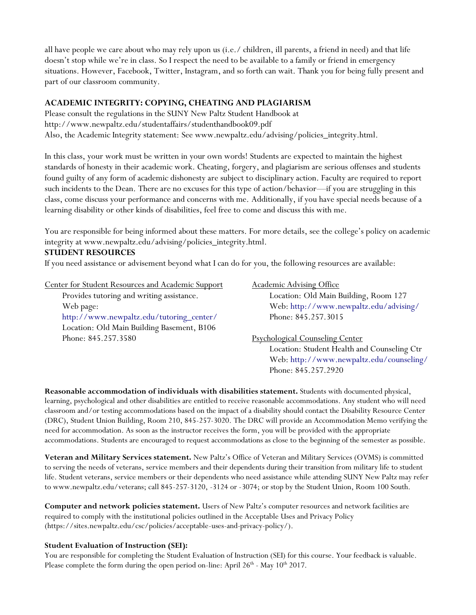all have people we care about who may rely upon us (i.e./ children, ill parents, a friend in need) and that life doesn't stop while we're in class. So I respect the need to be available to a family or friend in emergency situations. However, Facebook, Twitter, Instagram, and so forth can wait. Thank you for being fully present and part of our classroom community.

## **ACADEMIC INTEGRITY: COPYING, CHEATING AND PLAGIARISM**

Please consult the regulations in the SUNY New Paltz Student Handbook at http://www.newpaltz.edu/studentaffairs/studenthandbook09.pdf Also, the Academic Integrity statement: See www.newpaltz.edu/advising/policies\_integrity.html.

In this class, your work must be written in your own words! Students are expected to maintain the highest standards of honesty in their academic work. Cheating, forgery, and plagiarism are serious offenses and students found guilty of any form of academic dishonesty are subject to disciplinary action. Faculty are required to report such incidents to the Dean. There are no excuses for this type of action/behavior—if you are struggling in this class, come discuss your performance and concerns with me. Additionally, if you have special needs because of a learning disability or other kinds of disabilities, feel free to come and discuss this with me.

You are responsible for being informed about these matters. For more details, see the college's policy on academic integrity at www.newpaltz.edu/advising/policies\_integrity.html.

#### **STUDENT RESOURCES**

If you need assistance or advisement beyond what I can do for you, the following resources are available:

Center for Student Resources and Academic Support

Provides tutoring and writing assistance. Web page: http://www.newpaltz.edu/tutoring\_center/ Location: Old Main Building Basement, B106 Phone: 845.257.3580

Academic Advising Office

Location: Old Main Building, Room 127 Web: http://www.newpaltz.edu/advising/ Phone: 845.257.3015

### Psychological Counseling Center

Location: Student Health and Counseling Ctr Web: http://www.newpaltz.edu/counseling/ Phone: 845.257.2920

**Reasonable accommodation of individuals with disabilities statement.** Students with documented physical, learning, psychological and other disabilities are entitled to receive reasonable accommodations. Any student who will need classroom and/or testing accommodations based on the impact of a disability should contact the Disability Resource Center (DRC), Student Union Building, Room 210, 845-257-3020. The DRC will provide an Accommodation Memo verifying the need for accommodation. As soon as the instructor receives the form, you will be provided with the appropriate accommodations. Students are encouraged to request accommodations as close to the beginning of the semester as possible.

**Veteran and Military Services statement.** New Paltz's Office of Veteran and Military Services (OVMS) is committed to serving the needs of veterans, service members and their dependents during their transition from military life to student life. Student veterans, service members or their dependents who need assistance while attending SUNY New Paltz may refer to www.newpaltz.edu/veterans; call 845-257-3120, -3124 or -3074; or stop by the Student Union, Room 100 South.

**Computer and network policies statement.** Users of New Paltz's computer resources and network facilities are required to comply with the institutional policies outlined in the Acceptable Uses and Privacy Policy (https://sites.newpaltz.edu/csc/policies/acceptable-uses-and-privacy-policy/).

### **Student Evaluation of Instruction (SEI):**

You are responsible for completing the Student Evaluation of Instruction (SEI) for this course. Your feedback is valuable. Please complete the form during the open period on-line: April  $26<sup>th</sup>$  - May  $10<sup>th</sup> 2017$ .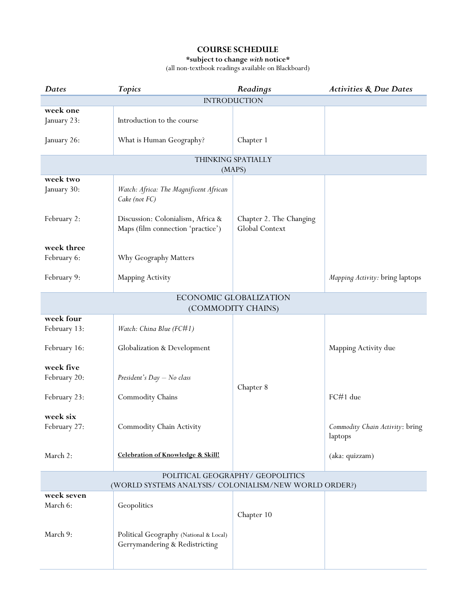#### **COURSE SCHEDULE**

## **\*subject to change** *with* **notice\***

(all non-textbook readings available on Blackboard)

| Dates                                                                                      | <b>Topics</b>                                                            | Readings                                  | <b>Activities &amp; Due Dates</b>          |
|--------------------------------------------------------------------------------------------|--------------------------------------------------------------------------|-------------------------------------------|--------------------------------------------|
|                                                                                            |                                                                          | <b>INTRODUCTION</b>                       |                                            |
| week one<br>January 23:                                                                    | Introduction to the course                                               |                                           |                                            |
| January 26:                                                                                | What is Human Geography?                                                 | Chapter 1                                 |                                            |
|                                                                                            |                                                                          | THINKING SPATIALLY<br>(MAPS)              |                                            |
| week two                                                                                   |                                                                          |                                           |                                            |
| January 30:                                                                                | Watch: Africa: The Magnificent African<br>Cake (not FC)                  |                                           |                                            |
| February 2:                                                                                | Discussion: Colonialism, Africa &<br>Maps (film connection 'practice')   | Chapter 2. The Changing<br>Global Context |                                            |
| week three<br>February 6:                                                                  | Why Geography Matters                                                    |                                           |                                            |
| February 9:                                                                                | <b>Mapping Activity</b>                                                  |                                           | Mapping Activity: bring laptops            |
|                                                                                            |                                                                          | ECONOMIC GLOBALIZATION                    |                                            |
| (COMMODITY CHAINS)                                                                         |                                                                          |                                           |                                            |
| week four<br>February 13:                                                                  | Watch: China Blue (FC#1)                                                 |                                           |                                            |
| February 16:                                                                               | Globalization & Development                                              |                                           | Mapping Activity due                       |
| week five<br>February 20:                                                                  | President's Day - No class                                               | Chapter 8                                 |                                            |
| February 23:                                                                               | Commodity Chains                                                         |                                           | FC#1 due                                   |
| week six<br>February 27:                                                                   | Commodity Chain Activity                                                 |                                           | Commodity Chain Activity: bring<br>laptops |
| March 2:                                                                                   | Celebration of Knowledge & Skill!                                        |                                           | (aka: quizzam)                             |
| POLITICAL GEOGRAPHY/ GEOPOLITICS<br>(WORLD SYSTEMS ANALYSIS/ COLONIALISM/NEW WORLD ORDER?) |                                                                          |                                           |                                            |
| week seven<br>March 6:                                                                     | Geopolitics                                                              | Chapter 10                                |                                            |
| March 9:                                                                                   | Political Geography (National & Local)<br>Gerrymandering & Redistricting |                                           |                                            |
|                                                                                            |                                                                          |                                           |                                            |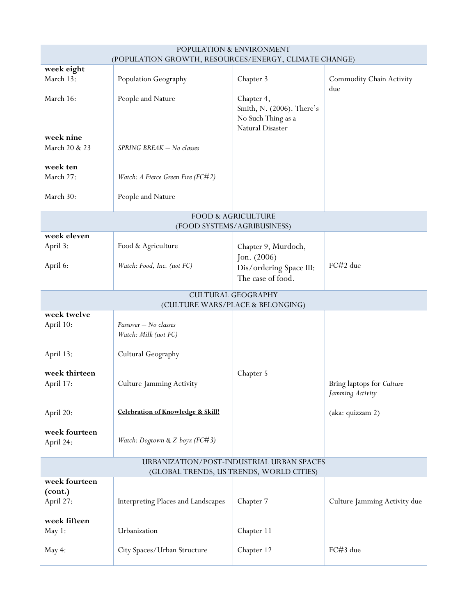|                            | (POPULATION GROWTH, RESOURCES/ENERGY, CLIMATE CHANGE) | POPULATION & ENVIRONMENT                                                              |                                               |
|----------------------------|-------------------------------------------------------|---------------------------------------------------------------------------------------|-----------------------------------------------|
| week eight                 |                                                       |                                                                                       |                                               |
| March 13:                  | Population Geography                                  | Chapter 3                                                                             | Commodity Chain Activity<br>due               |
| March 16:                  | People and Nature                                     | Chapter 4,<br>Smith, N. (2006). There's<br>No Such Thing as a<br>Natural Disaster     |                                               |
| week nine<br>March 20 & 23 | $SPRING BREAK - No classes$                           |                                                                                       |                                               |
| week ten<br>March 27:      | Watch: A Fierce Green Fire (FC#2)                     |                                                                                       |                                               |
| March 30:                  | People and Nature                                     |                                                                                       |                                               |
|                            |                                                       | <b>FOOD &amp; AGRICULTURE</b>                                                         |                                               |
|                            |                                                       | (FOOD SYSTEMS/AGRIBUSINESS)                                                           |                                               |
| week eleven                |                                                       |                                                                                       |                                               |
| April 3:                   | Food & Agriculture                                    | Chapter 9, Murdoch,<br>Jon. $(2006)$                                                  |                                               |
| April 6:                   | Watch: Food, Inc. (not FC)                            | Dis/ordering Space III:<br>The case of food.                                          | FC#2 due                                      |
|                            |                                                       | <b>CULTURAL GEOGRAPHY</b>                                                             |                                               |
|                            |                                                       | (CULTURE WARS/PLACE & BELONGING)                                                      |                                               |
| week twelve<br>April 10:   | Passover - No classes<br>Watch: Milk (not FC)         |                                                                                       |                                               |
| April 13:                  | Cultural Geography                                    |                                                                                       |                                               |
| week thirteen<br>April 17: | <b>Culture Jamming Activity</b>                       | Chapter 5                                                                             | Bring laptops for Culture<br>Jamming Activity |
| April 20:                  | Celebration of Knowledge & Skill!                     |                                                                                       | (aka: quizzam 2)                              |
| week fourteen<br>April 24: | Watch: Dogtown & Z-boyz (FC#3)                        |                                                                                       |                                               |
|                            |                                                       | URBANIZATION/POST-INDUSTRIAL URBAN SPACES<br>(GLOBAL TRENDS, US TRENDS, WORLD CITIES) |                                               |
| week fourteen              |                                                       |                                                                                       |                                               |
| (cont.)<br>April 27:       | <b>Interpreting Places and Landscapes</b>             | Chapter 7                                                                             | Culture Jamming Activity due                  |
| week fifteen<br>May 1:     | Urbanization                                          | Chapter 11                                                                            |                                               |
| May 4:                     | City Spaces/Urban Structure                           | Chapter 12                                                                            | FC#3 due                                      |